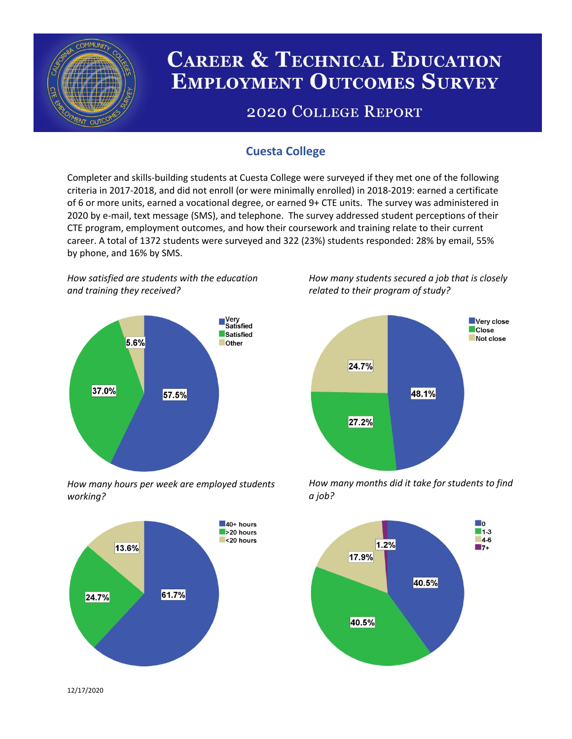

# **CAREER & TECHNICAL EDUCATION EMPLOYMENT OUTCOMES SURVEY**

## **2020 COLLEGE REPORT**

## **Cuesta College**

Completer and skills-building students at Cuesta College were surveyed if they met one of the following criteria in 2017-2018, and did not enroll (or were minimally enrolled) in 2018-2019: earned a certificate of 6 or more units, earned a vocational degree, or earned 9+ CTE units. The survey was administered in 2020 by e-mail, text message (SMS), and telephone. The survey addressed student perceptions of their CTE program, employment outcomes, and how their coursework and training relate to their current career. A total of 1372 students were surveyed and 322 (23%) students responded: 28% by email, 55% by phone, and 16% by SMS.

*How satisfied are students with the education and training they received?*



*How many hours per week are employed students working?*



*How many students secured a job that is closely related to their program of study?*



*How many months did it take for students to find a job?*



12/17/2020